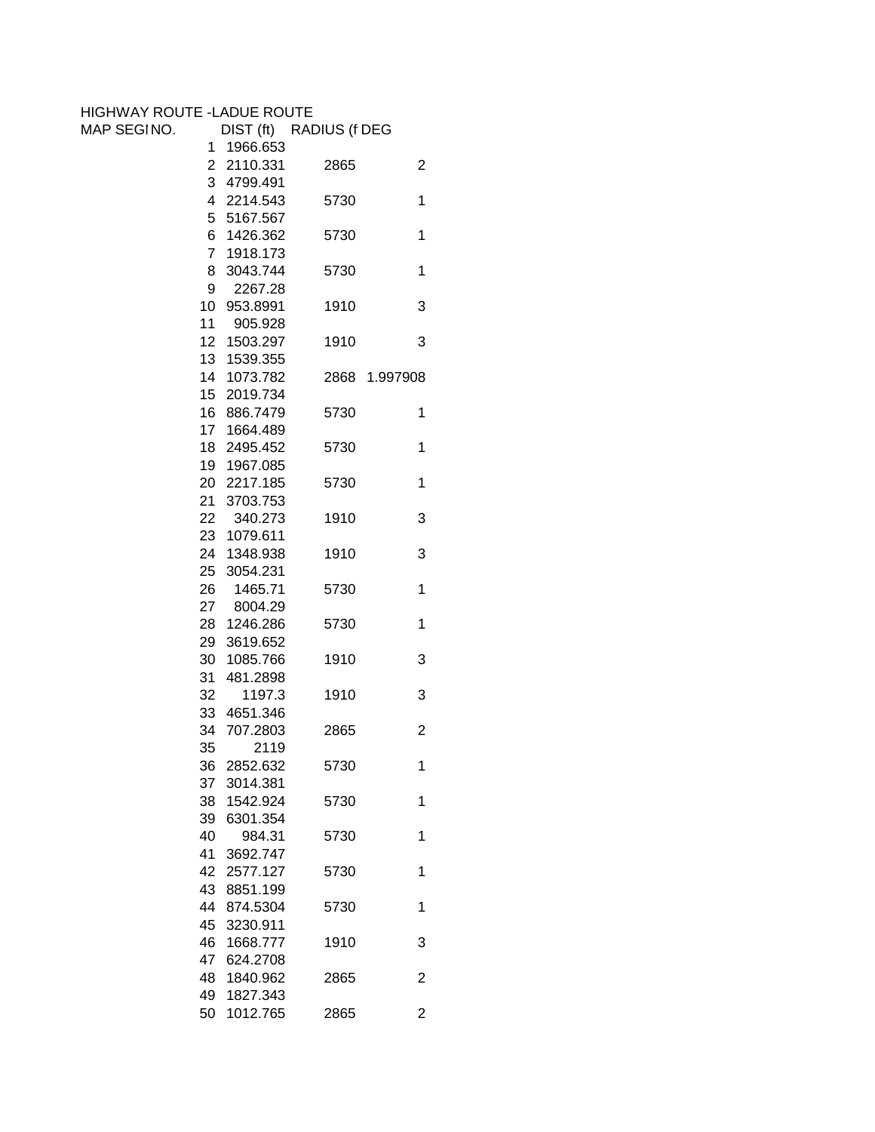## HIGHWAY ROUTE -LADUE ROUTE

| MAP SEGINO. |                  |             | DIST (ft) RADIUS (f DEG |                |
|-------------|------------------|-------------|-------------------------|----------------|
|             | 1966.653<br>1    |             |                         |                |
|             |                  | 2 2110.331  | 2865                    | 2              |
|             |                  | 3 4799.491  |                         |                |
|             |                  | 4 2214.543  | 5730                    | 1              |
|             |                  | 5 5167.567  |                         |                |
|             | 6                | 1426.362    | 5730                    | 1              |
|             |                  | 7 1918.173  |                         |                |
|             | 8                | 3043.744    | 5730                    | 1              |
|             | 9                | 2267.28     |                         |                |
|             | 10               | 953.8991    | 1910                    | 3              |
|             | 11               | 905.928     |                         |                |
|             | 12 <sup>2</sup>  | 1503.297    | 1910                    | 3              |
|             | 13               | 1539.355    |                         |                |
|             | 14               | 1073.782    | 2868 1.997908           |                |
|             | 15 <sup>15</sup> | 2019.734    |                         |                |
|             | 16               | 886.7479    | 5730                    | 1              |
|             |                  | 17 1664.489 |                         |                |
|             | 18               | 2495.452    | 5730                    | 1              |
|             |                  | 19 1967.085 |                         |                |
|             | 20               | 2217.185    | 5730                    | 1              |
|             | 21               | 3703.753    |                         |                |
|             | 22               | 340.273     | 1910                    | 3              |
|             | 23               | 1079.611    |                         |                |
|             |                  | 24 1348.938 | 1910                    | 3              |
|             | 25 <sub>2</sub>  | 3054.231    |                         |                |
|             | 26               | 1465.71     | 5730                    | 1              |
|             | 27               | 8004.29     |                         |                |
|             | 28               | 1246.286    | 5730                    | 1              |
|             | 29               | 3619.652    |                         |                |
|             | 30               | 1085.766    | 1910                    | 3              |
|             | 31               | 481.2898    |                         |                |
|             | 32               | 1197.3      | 1910                    | 3              |
|             | 33               | 4651.346    |                         |                |
|             | 34               | 707.2803    | 2865                    | $\overline{2}$ |
|             | 35               | 2119        |                         |                |
|             |                  | 2852.632    |                         |                |
|             | 36               |             | 5730                    | 1              |
|             | 37               | 3014.381    |                         |                |
|             | 38               | 1542.924    | 5730                    | 1              |
|             | 39               | 6301.354    |                         |                |
|             | 40               | 984.31      | 5730                    | 1              |
|             | 41               | 3692.747    |                         |                |
|             | 42               | 2577.127    | 5730                    | 1              |
|             | 43               | 8851.199    |                         |                |
|             | 44               | 874.5304    | 5730                    | 1              |
|             | 45               | 3230.911    |                         |                |
|             | 46               | 1668.777    | 1910                    | 3              |
|             | 47               | 624.2708    |                         |                |
|             | 48               | 1840.962    | 2865                    | 2              |
|             | 49               | 1827.343    |                         |                |
|             | 50               | 1012.765    | 2865                    | $\overline{2}$ |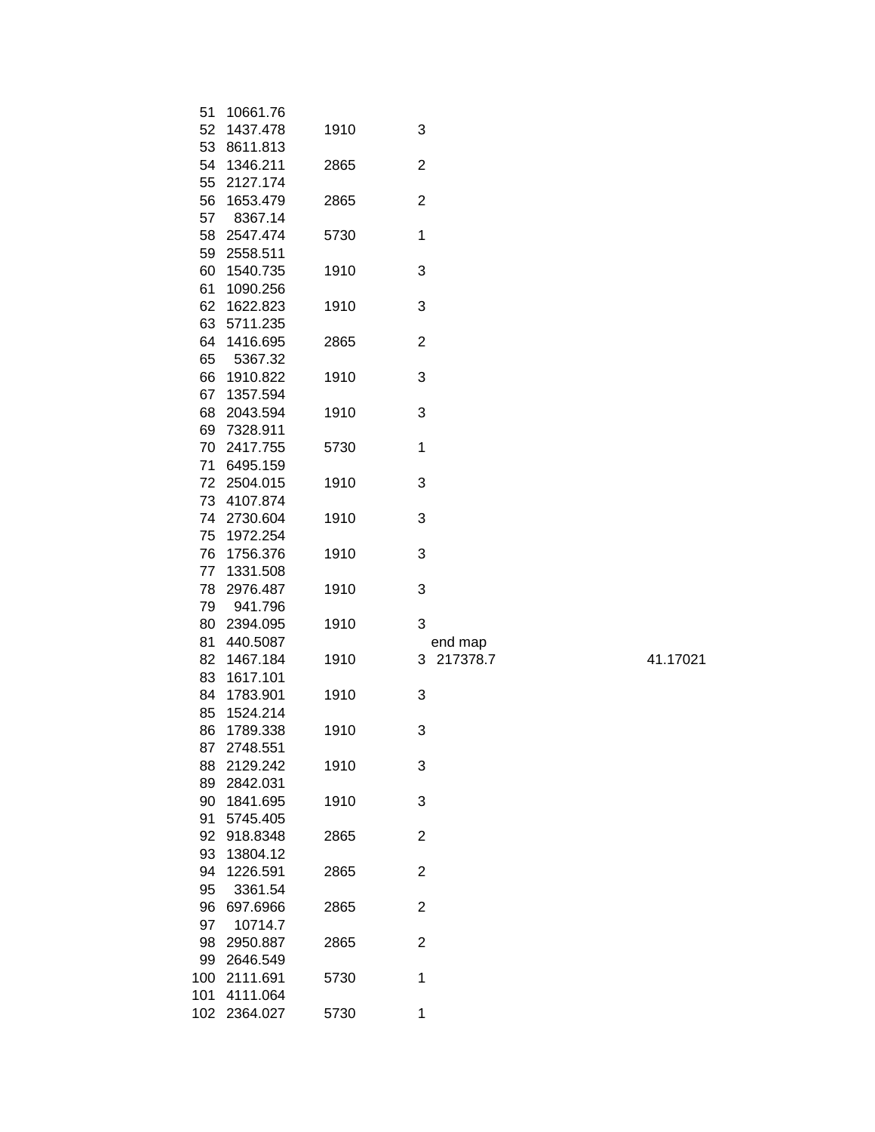| 51  | 10661.76    |      |                |          |
|-----|-------------|------|----------------|----------|
| 52  | 1437.478    | 1910 | 3              |          |
| 53  | 8611.813    |      |                |          |
| 54  | 1346.211    | 2865 | $\overline{2}$ |          |
| 55  | 2127.174    |      |                |          |
|     |             |      |                |          |
| 56  | 1653.479    | 2865 | $\overline{2}$ |          |
| 57  | 8367.14     |      |                |          |
| 58  | 2547.474    | 5730 | 1              |          |
| 59  | 2558.511    |      |                |          |
| 60  | 1540.735    | 1910 | 3              |          |
| 61  | 1090.256    |      |                |          |
| 62  | 1622.823    | 1910 | 3              |          |
| 63  | 5711.235    |      |                |          |
| 64  | 1416.695    | 2865 | $\overline{2}$ |          |
| 65  | 5367.32     |      |                |          |
| 66  | 1910.822    | 1910 | 3              |          |
| 67  | 1357.594    |      |                |          |
| 68  | 2043.594    | 1910 | 3              |          |
| 69  | 7328.911    |      |                |          |
| 70  | 2417.755    | 5730 | 1              |          |
| 71  | 6495.159    |      |                |          |
| 72  | 2504.015    | 1910 | 3              |          |
|     |             |      |                |          |
| 73  | 4107.874    |      |                |          |
| 74  | 2730.604    | 1910 | 3              |          |
| 75  | 1972.254    |      |                |          |
| 76  | 1756.376    | 1910 | 3              |          |
| 77  | 1331.508    |      |                |          |
| 78  | 2976.487    | 1910 | 3              |          |
| 79  | 941.796     |      |                |          |
| 80  | 2394.095    | 1910 | 3              |          |
| 81  | 440.5087    |      | end map        |          |
| 82  | 1467.184    | 1910 | 3 217378.7     | 41.17021 |
| 83  | 1617.101    |      |                |          |
| 84  | 1783.901    | 1910 | 3              |          |
| 85  | 1524.214    |      |                |          |
|     |             |      |                |          |
|     |             |      |                |          |
| 86  | 1789.338    | 1910 | 3              |          |
|     | 87 2748.551 |      |                |          |
| 88  | 2129.242    | 1910 | 3              |          |
| 89  | 2842.031    |      |                |          |
| 90  | 1841.695    | 1910 | 3              |          |
| 91  | 5745.405    |      |                |          |
| 92  | 918.8348    | 2865 | $\overline{2}$ |          |
| 93  | 13804.12    |      |                |          |
| 94  | 1226.591    | 2865 | $\overline{2}$ |          |
| 95  | 3361.54     |      |                |          |
| 96  | 697.6966    | 2865 | $\overline{2}$ |          |
| 97  | 10714.7     |      |                |          |
| 98  | 2950.887    | 2865 | $\overline{2}$ |          |
| 99  | 2646.549    |      |                |          |
| 100 | 2111.691    | 5730 | 1              |          |
| 101 | 4111.064    |      |                |          |